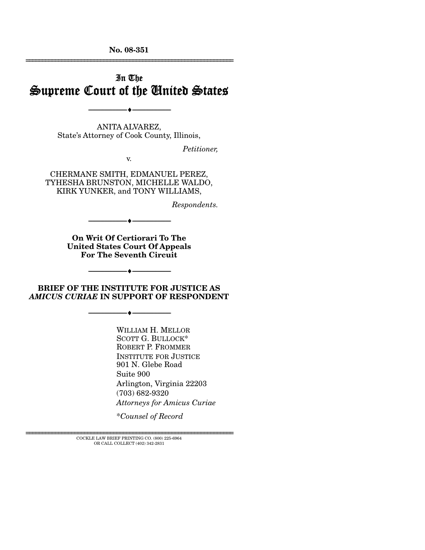**No. 08-351**  ================================================================

## In The Supreme Court of the United States

ANITA ALVAREZ, State's Attorney of Cook County, Illinois,

--------------------------------- ♦ ---------------------------------

*Petitioner,* 

v.

CHERMANE SMITH, EDMANUEL PEREZ, TYHESHA BRUNSTON, MICHELLE WALDO, KIRK YUNKER, and TONY WILLIAMS,

*Respondents.* 

**On Writ Of Certiorari To The United States Court Of Appeals For The Seventh Circuit** 

--------------------------------- ♦ ---------------------------------

**BRIEF OF THE INSTITUTE FOR JUSTICE AS**  *AMICUS CURIAE* **IN SUPPORT OF RESPONDENT** 

--------------------------------- ♦ ---------------------------------

--------------------------------- ♦ ---------------------------------

WILLIAM H. MELLOR SCOTT G. BULLOCK\* ROBERT P. FROMMER INSTITUTE FOR JUSTICE 901 N. Glebe Road Suite 900 Arlington, Virginia 22203 (703) 682-9320 *Attorneys for Amicus Curiae* 

\**Counsel of Record* 

 $\rm COCKLE$  LAW BRIEF PRINTING CO.  $(800)$  225-6964 OR CALL COLLECT (402) 342-2831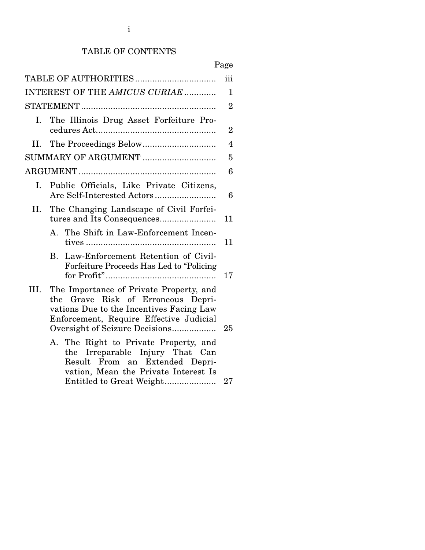### TABLE OF CONTENTS

| Page                                                                                                                                                                                                         |
|--------------------------------------------------------------------------------------------------------------------------------------------------------------------------------------------------------------|
| iii                                                                                                                                                                                                          |
| INTEREST OF THE AMICUS CURIAE<br>$\mathbf 1$                                                                                                                                                                 |
| $\overline{2}$                                                                                                                                                                                               |
| The Illinois Drug Asset Forfeiture Pro-<br>$\overline{2}$                                                                                                                                                    |
| $\overline{4}$                                                                                                                                                                                               |
| SUMMARY OF ARGUMENT<br>5                                                                                                                                                                                     |
| 6                                                                                                                                                                                                            |
| Public Officials, Like Private Citizens,<br>6                                                                                                                                                                |
| The Changing Landscape of Civil Forfei-<br>11                                                                                                                                                                |
| A. The Shift in Law-Enforcement Incen-<br>11                                                                                                                                                                 |
| B. Law-Enforcement Retention of Civil-<br>Forfeiture Proceeds Has Led to "Policing<br>17                                                                                                                     |
| The Importance of Private Property, and<br>the Grave Risk of Erroneous Depri-<br>vations Due to the Incentives Facing Law<br>Enforcement, Require Effective Judicial<br>Oversight of Seizure Decisions<br>25 |
| A. The Right to Private Property, and<br>the Irreparable Injury That Can<br>Result From an Extended Depri-<br>vation, Mean the Private Interest Is<br>27                                                     |
|                                                                                                                                                                                                              |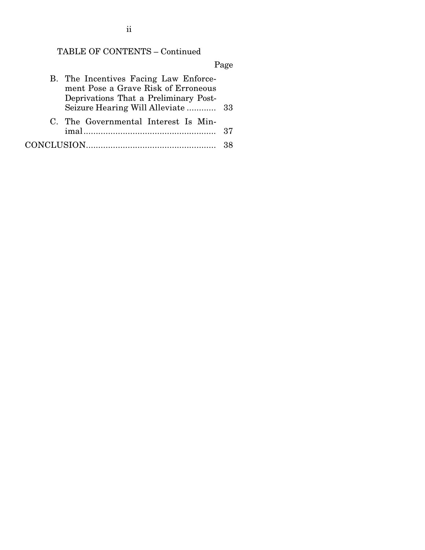# TABLE OF CONTENTS – Continued

# Page

| B. The Incentives Facing Law Enforce- |  |
|---------------------------------------|--|
| ment Pose a Grave Risk of Erroneous   |  |
| Deprivations That a Preliminary Post- |  |
|                                       |  |
| C. The Governmental Interest Is Min-  |  |
|                                       |  |
|                                       |  |

ii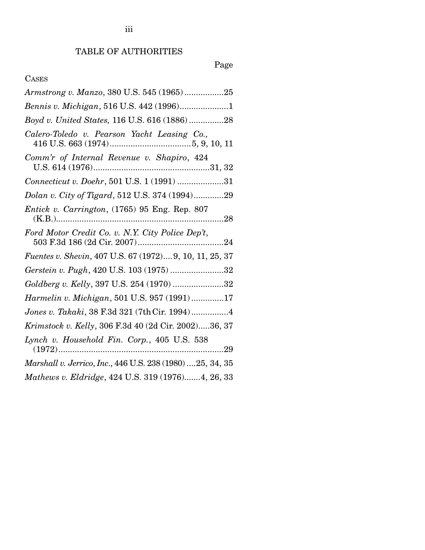# Page

## CASES

| Armstrong v. Manzo, 380 U.S. 545 (1965)25                  |
|------------------------------------------------------------|
| Bennis v. Michigan, 516 U.S. 442 (1996)1                   |
| Boyd v. United States, 116 U.S. 616 (1886)28               |
| Calero-Toledo v. Pearson Yacht Leasing Co.,                |
| Comm'r of Internal Revenue v. Shapiro, 424                 |
| Connecticut v. Doehr, 501 U.S. 1 (1991) 31                 |
| Dolan v. City of Tigard, 512 U.S. 374 (1994)29             |
| <i>Entick v. Carrington,</i> (1765) 95 Eng. Rep. 807       |
| Ford Motor Credit Co. v. N.Y. City Police Dep't,           |
| Fuentes v. Shevin, 407 U.S. 67 (1972) 9, 10, 11, 25, 37    |
| Gerstein v. Pugh, 420 U.S. 103 (1975) 32                   |
| Goldberg v. Kelly, 397 U.S. 254 (1970) 32                  |
| Harmelin v. Michigan, 501 U.S. 957 (1991)17                |
| Jones v. Takaki, 38 F.3d 321 (7th Cir. 1994)4              |
| Krimstock v. Kelly, 306 F.3d 40 (2d Cir. 2002)36, 37       |
| $\ldots$ 29                                                |
| Marshall v. Jerrico, Inc., 446 U.S. 238 (1980)  25, 34, 35 |
| Mathews v. Eldridge, 424 U.S. 319 (1976)4, 26, 33          |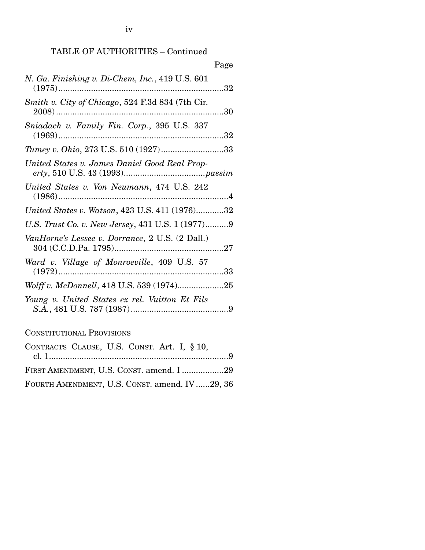iv

## TABLE OF AUTHORITIES – Continued

|                                                  | Page |
|--------------------------------------------------|------|
| N. Ga. Finishing v. Di-Chem, Inc., 419 U.S. 601  |      |
| Smith v. City of Chicago, 524 F.3d 834 (7th Cir. |      |
| Sniadach v. Family Fin. Corp., 395 U.S. 337      |      |
| Tumey v. Ohio, 273 U.S. 510 (1927)33             |      |
| United States v. James Daniel Good Real Prop-    |      |
| United States v. Von Neumann, 474 U.S. 242       |      |
| United States v. Watson, 423 U.S. 411 (1976)32   |      |
| U.S. Trust Co. v. New Jersey, 431 U.S. 1 (1977)9 |      |
| VanHorne's Lessee v. Dorrance, 2 U.S. (2 Dall.)  |      |
| Ward v. Village of Monroeville, 409 U.S. 57      |      |
|                                                  |      |
| Young v. United States ex rel. Vuitton Et Fils   |      |

## CONSTITUTIONAL PROVISIONS

| CONTRACTS CLAUSE, U.S. CONST. Art. I, § 10,   |
|-----------------------------------------------|
|                                               |
| FIRST AMENDMENT, U.S. CONST. amend. I 29      |
| FOURTH AMENDMENT, U.S. CONST. amend. IV29, 36 |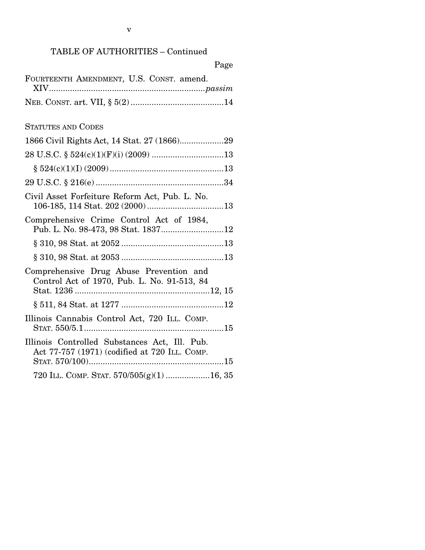| Page                                                                                           |
|------------------------------------------------------------------------------------------------|
| FOURTEENTH AMENDMENT, U.S. CONST. amend.                                                       |
|                                                                                                |
| <b>STATUTES AND CODES</b>                                                                      |
|                                                                                                |
|                                                                                                |
|                                                                                                |
|                                                                                                |
| Civil Asset Forfeiture Reform Act, Pub. L. No.                                                 |
| Comprehensive Crime Control Act of 1984,<br>Pub. L. No. 98-473, 98 Stat. 183712                |
|                                                                                                |
|                                                                                                |
| Comprehensive Drug Abuse Prevention and<br>Control Act of 1970, Pub. L. No. 91-513, 84         |
|                                                                                                |
| Illinois Cannabis Control Act, 720 ILL. COMP.                                                  |
| Illinois Controlled Substances Act, Ill. Pub.<br>Act 77-757 (1971) (codified at 720 ILL. COMP. |
| 720 ILL. COMP. STAT. 570/505(g)(1) 16, 35                                                      |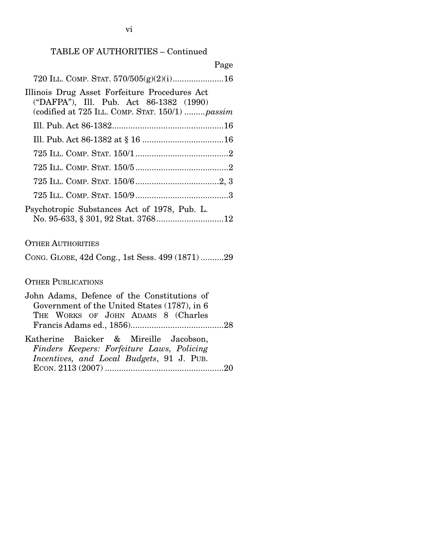### TABLE OF AUTHORITIES – Continued

### OTHER AUTHORITIES

CONG. GLOBE, 42d Cong., 1st Sess. 499 (1871) .......... 29

### OTHER PUBLICATIONS

| John Adams, Defence of the Constitutions of  |  |  |  |
|----------------------------------------------|--|--|--|
| Government of the United States (1787), in 6 |  |  |  |
| THE WORKS OF JOHN ADAMS 8 (Charles           |  |  |  |
|                                              |  |  |  |
| Katherine Baicker & Mireille Jacobson        |  |  |  |

|  |  | Katherine Daicker & Mirellie Jacobson,     |  |
|--|--|--------------------------------------------|--|
|  |  | Finders Keepers: Forfeiture Laws, Policing |  |
|  |  | Incentives, and Local Budgets, 91 J. PUB.  |  |
|  |  |                                            |  |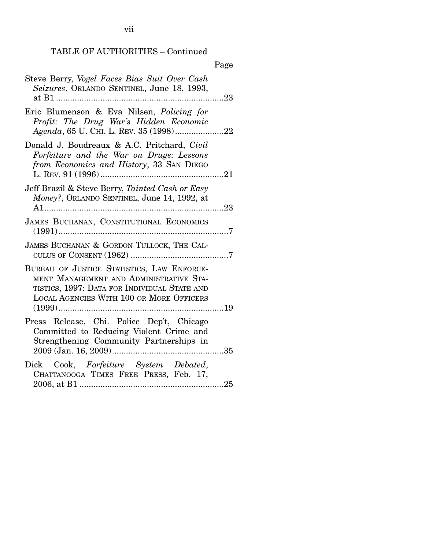## TABLE OF AUTHORITIES – Continued

|                                                                                                                                                                                          | Page       |
|------------------------------------------------------------------------------------------------------------------------------------------------------------------------------------------|------------|
| Steve Berry, Vogel Faces Bias Suit Over Cash<br>Seizures, ORLANDO SENTINEL, June 18, 1993,<br>at B1                                                                                      | .23        |
| Eric Blumenson & Eva Nilsen, Policing for<br>Profit: The Drug War's Hidden Economic                                                                                                      |            |
| Donald J. Boudreaux & A.C. Pritchard, Civil<br>Forfeiture and the War on Drugs: Lessons<br>from Economics and History, 33 SAN DIEGO                                                      |            |
| Jeff Brazil & Steve Berry, Tainted Cash or Easy<br>Money?, ORLANDO SENTINEL, June 14, 1992, at                                                                                           | $\dots 23$ |
| JAMES BUCHANAN, CONSTITUTIONAL ECONOMICS                                                                                                                                                 |            |
| JAMES BUCHANAN & GORDON TULLOCK, THE CAL-                                                                                                                                                |            |
| BUREAU OF JUSTICE STATISTICS, LAW ENFORCE-<br>MENT MANAGEMENT AND ADMINISTRATIVE STA-<br>TISTICS, 1997: DATA FOR INDIVIDUAL STATE AND<br><b>LOCAL AGENCIES WITH 100 OR MORE OFFICERS</b> |            |
| Press Release, Chi. Police Dep't, Chicago<br>Committed to Reducing Violent Crime and<br>Strengthening Community Partnerships in                                                          |            |
| Dick Cook, Forfeiture System Debated,<br>CHATTANOOGA TIMES FREE PRESS, Feb. 17,                                                                                                          |            |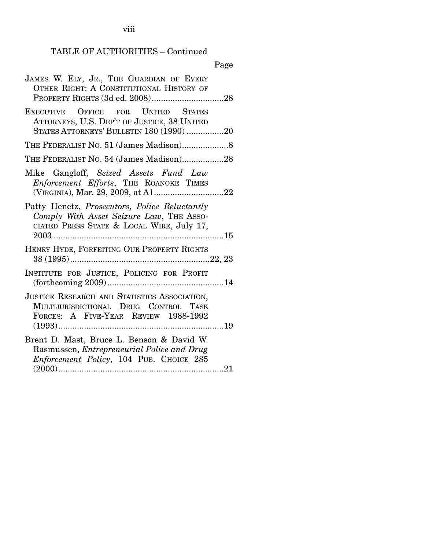viii

# TABLE OF AUTHORITIES – Continued

# Page

| JAMES W. ELY, JR., THE GUARDIAN OF EVERY<br>OTHER RIGHT: A CONSTITUTIONAL HISTORY OF                                                                  |
|-------------------------------------------------------------------------------------------------------------------------------------------------------|
|                                                                                                                                                       |
| EXECUTIVE OFFICE FOR UNITED STATES<br>ATTORNEYS, U.S. DEP'T OF JUSTICE, 38 UNITED<br>STATES ATTORNEYS' BULLETIN 180 (1990) 20                         |
|                                                                                                                                                       |
| THE FEDERALIST NO. 54 (James Madison)28                                                                                                               |
| Mike Gangloff, Seized Assets Fund Law<br>Enforcement Efforts, THE ROANOKE TIMES                                                                       |
| Patty Henetz, <i>Prosecutors</i> , <i>Police Reluctantly</i><br>Comply With Asset Seizure Law, THE ASSO-<br>CIATED PRESS STATE & LOCAL WIRE, July 17, |
| HENRY HYDE, FORFEITING OUR PROPERTY RIGHTS                                                                                                            |
| INSTITUTE FOR JUSTICE, POLICING FOR PROFIT                                                                                                            |
| JUSTICE RESEARCH AND STATISTICS ASSOCIATION,<br>MULTIJURISDICTIONAL DRUG CONTROL<br><b>TASK</b><br>FORCES: A FIVE-YEAR REVIEW 1988-1992               |
| Brent D. Mast, Bruce L. Benson & David W.<br>Rasmussen, Entrepreneurial Police and Drug<br>Enforcement Policy, 104 PUB. CHOICE 285                    |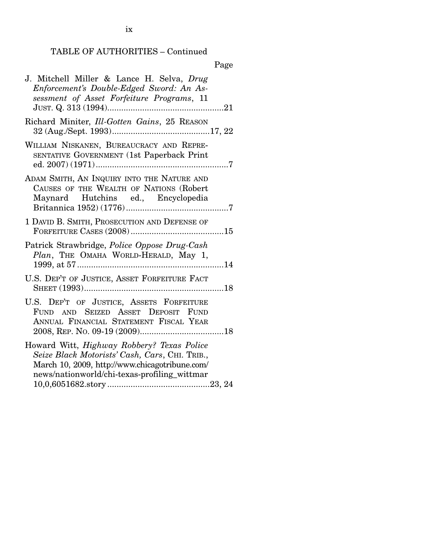## TABLE OF AUTHORITIES – Continued

|--|

| J. Mitchell Miller & Lance H. Selva, Drug<br>Enforcement's Double-Edged Sword: An As-<br>sessment of Asset Forfeiture Programs, 11                                                                    |
|-------------------------------------------------------------------------------------------------------------------------------------------------------------------------------------------------------|
| Richard Miniter, Ill-Gotten Gains, 25 REASON                                                                                                                                                          |
| WILLIAM NISKANEN, BUREAUCRACY AND REPRE-<br>SENTATIVE GOVERNMENT (1st Paperback Print                                                                                                                 |
| ADAM SMITH, AN INQUIRY INTO THE NATURE AND<br>CAUSES OF THE WEALTH OF NATIONS (Robert<br>Maynard Hutchins ed., Encyclopedia                                                                           |
| 1 DAVID B. SMITH, PROSECUTION AND DEFENSE OF                                                                                                                                                          |
| Patrick Strawbridge, Police Oppose Drug-Cash<br>Plan, THE OMAHA WORLD-HERALD, May 1,                                                                                                                  |
| U.S. DEP'T OF JUSTICE, ASSET FORFEITURE FACT                                                                                                                                                          |
| U.S. DEP'T OF JUSTICE, ASSETS FORFEITURE<br>FUND AND SEIZED ASSET DEPOSIT FUND<br>ANNUAL FINANCIAL STATEMENT FISCAL YEAR                                                                              |
| Howard Witt, <i>Highway Robbery? Texas Police</i><br>Seize Black Motorists' Cash, Cars, CHI. TRIB.,<br>March 10, 2009, http://www.chicagotribune.com/<br>news/nationworld/chi-texas-profiling_wittmar |

ix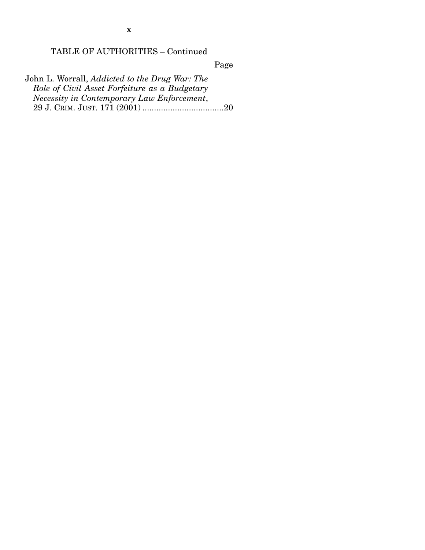### TABLE OF AUTHORITIES – Continued

Page

John L. Worrall, *Addicted to the Drug War: The Role of Civil Asset Forfeiture as a Budgetary Necessity in Contemporary Law Enforcement*, 29 J. CRIM. JUST. 171 (2001) ................................... 20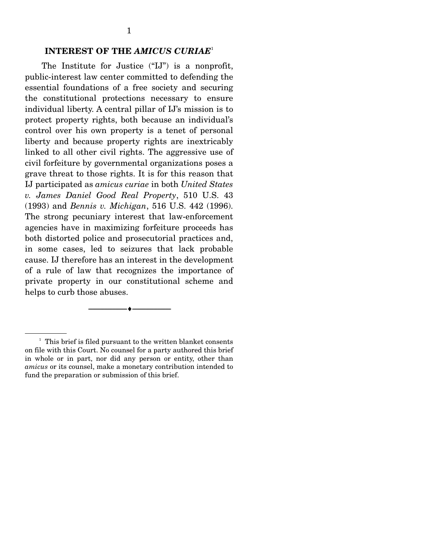#### **INTEREST OF THE** *AMICUS CURIAE*<sup>1</sup>

 The Institute for Justice ("IJ") is a nonprofit, public-interest law center committed to defending the essential foundations of a free society and securing the constitutional protections necessary to ensure individual liberty. A central pillar of IJ's mission is to protect property rights, both because an individual's control over his own property is a tenet of personal liberty and because property rights are inextricably linked to all other civil rights. The aggressive use of civil forfeiture by governmental organizations poses a grave threat to those rights. It is for this reason that IJ participated as *amicus curiae* in both *United States v. James Daniel Good Real Property*, 510 U.S. 43 (1993) and *Bennis v. Michigan*, 516 U.S. 442 (1996). The strong pecuniary interest that law-enforcement agencies have in maximizing forfeiture proceeds has both distorted police and prosecutorial practices and, in some cases, led to seizures that lack probable cause. IJ therefore has an interest in the development of a rule of law that recognizes the importance of private property in our constitutional scheme and helps to curb those abuses.

--------------------------------- ♦ ---------------------------------

<sup>&</sup>lt;sup>1</sup> This brief is filed pursuant to the written blanket consents on file with this Court. No counsel for a party authored this brief in whole or in part, nor did any person or entity, other than *amicus* or its counsel, make a monetary contribution intended to fund the preparation or submission of this brief.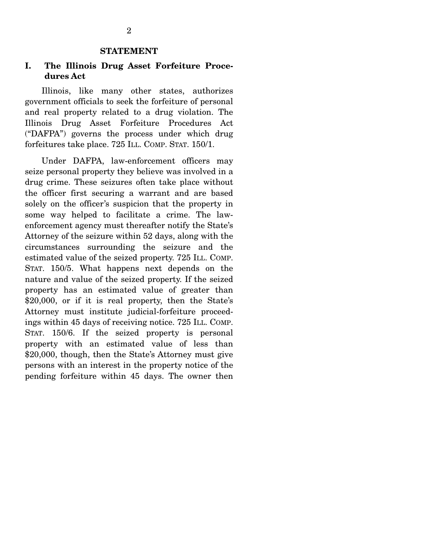#### **STATEMENT**

### **I. The Illinois Drug Asset Forfeiture Procedures Act**

 Illinois, like many other states, authorizes government officials to seek the forfeiture of personal and real property related to a drug violation. The Illinois Drug Asset Forfeiture Procedures Act ("DAFPA") governs the process under which drug forfeitures take place. 725 ILL. COMP. STAT. 150/1.

 Under DAFPA, law-enforcement officers may seize personal property they believe was involved in a drug crime. These seizures often take place without the officer first securing a warrant and are based solely on the officer's suspicion that the property in some way helped to facilitate a crime. The lawenforcement agency must thereafter notify the State's Attorney of the seizure within 52 days, along with the circumstances surrounding the seizure and the estimated value of the seized property. 725 ILL. COMP. STAT. 150/5. What happens next depends on the nature and value of the seized property. If the seized property has an estimated value of greater than \$20,000, or if it is real property, then the State's Attorney must institute judicial-forfeiture proceedings within 45 days of receiving notice. 725 ILL. COMP. STAT. 150/6. If the seized property is personal property with an estimated value of less than \$20,000, though, then the State's Attorney must give persons with an interest in the property notice of the pending forfeiture within 45 days. The owner then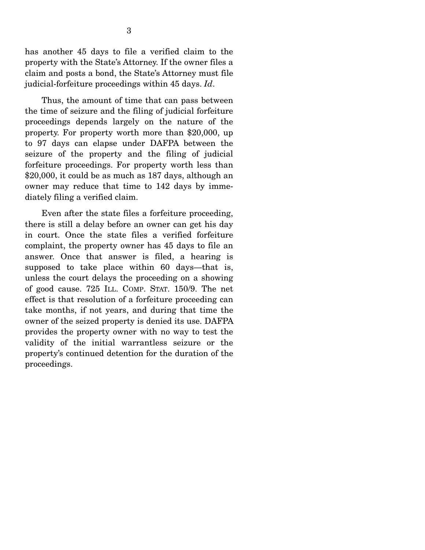has another 45 days to file a verified claim to the property with the State's Attorney. If the owner files a claim and posts a bond, the State's Attorney must file judicial-forfeiture proceedings within 45 days. *Id*.

 Thus, the amount of time that can pass between the time of seizure and the filing of judicial forfeiture proceedings depends largely on the nature of the property. For property worth more than \$20,000, up to 97 days can elapse under DAFPA between the seizure of the property and the filing of judicial forfeiture proceedings. For property worth less than \$20,000, it could be as much as 187 days, although an owner may reduce that time to 142 days by immediately filing a verified claim.

 Even after the state files a forfeiture proceeding, there is still a delay before an owner can get his day in court. Once the state files a verified forfeiture complaint, the property owner has 45 days to file an answer. Once that answer is filed, a hearing is supposed to take place within 60 days—that is, unless the court delays the proceeding on a showing of good cause. 725 ILL. COMP. STAT. 150/9. The net effect is that resolution of a forfeiture proceeding can take months, if not years, and during that time the owner of the seized property is denied its use. DAFPA provides the property owner with no way to test the validity of the initial warrantless seizure or the property's continued detention for the duration of the proceedings.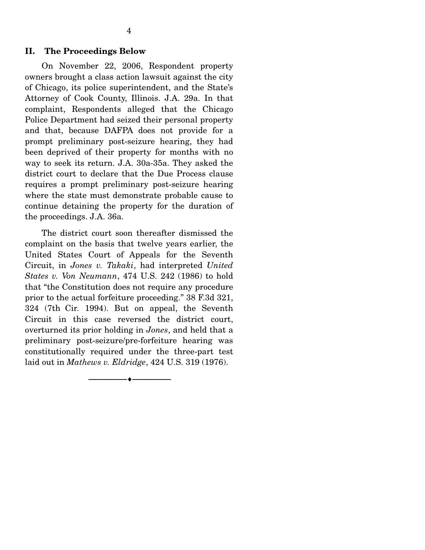#### **II. The Proceedings Below**

 On November 22, 2006, Respondent property owners brought a class action lawsuit against the city of Chicago, its police superintendent, and the State's Attorney of Cook County, Illinois. J.A. 29a. In that complaint, Respondents alleged that the Chicago Police Department had seized their personal property and that, because DAFPA does not provide for a prompt preliminary post-seizure hearing, they had been deprived of their property for months with no way to seek its return. J.A. 30a-35a. They asked the district court to declare that the Due Process clause requires a prompt preliminary post-seizure hearing where the state must demonstrate probable cause to continue detaining the property for the duration of the proceedings. J.A. 36a.

 The district court soon thereafter dismissed the complaint on the basis that twelve years earlier, the United States Court of Appeals for the Seventh Circuit, in *Jones v. Takaki*, had interpreted *United States v. Von Neumann*, 474 U.S. 242 (1986) to hold that "the Constitution does not require any procedure prior to the actual forfeiture proceeding." 38 F.3d 321, 324 (7th Cir. 1994). But on appeal, the Seventh Circuit in this case reversed the district court, overturned its prior holding in *Jones*, and held that a preliminary post-seizure/pre-forfeiture hearing was constitutionally required under the three-part test laid out in *Mathews v. Eldridge*, 424 U.S. 319 (1976).

--------------------------------- ♦ ---------------------------------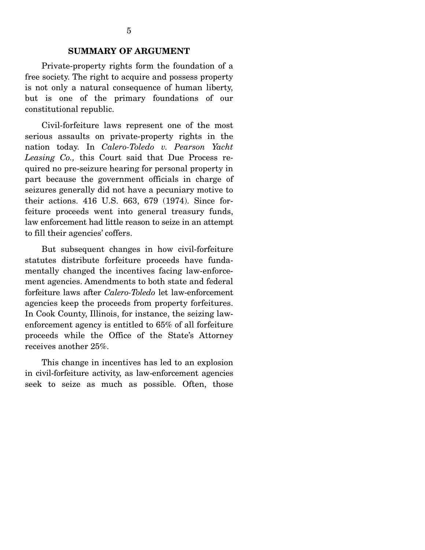Private-property rights form the foundation of a free society. The right to acquire and possess property is not only a natural consequence of human liberty, but is one of the primary foundations of our constitutional republic.

 Civil-forfeiture laws represent one of the most serious assaults on private-property rights in the nation today. In *Calero-Toledo v. Pearson Yacht Leasing Co.,* this Court said that Due Process required no pre-seizure hearing for personal property in part because the government officials in charge of seizures generally did not have a pecuniary motive to their actions. 416 U.S. 663, 679 (1974). Since forfeiture proceeds went into general treasury funds, law enforcement had little reason to seize in an attempt to fill their agencies' coffers.

 But subsequent changes in how civil-forfeiture statutes distribute forfeiture proceeds have fundamentally changed the incentives facing law-enforcement agencies. Amendments to both state and federal forfeiture laws after *Calero-Toledo* let law-enforcement agencies keep the proceeds from property forfeitures. In Cook County, Illinois, for instance, the seizing lawenforcement agency is entitled to 65% of all forfeiture proceeds while the Office of the State's Attorney receives another 25%.

 This change in incentives has led to an explosion in civil-forfeiture activity, as law-enforcement agencies seek to seize as much as possible. Often, those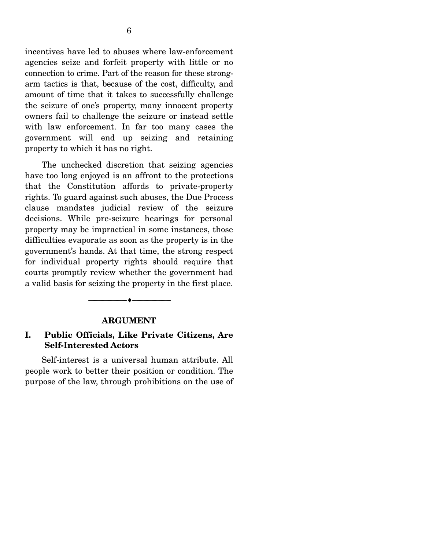incentives have led to abuses where law-enforcement agencies seize and forfeit property with little or no connection to crime. Part of the reason for these strongarm tactics is that, because of the cost, difficulty, and amount of time that it takes to successfully challenge the seizure of one's property, many innocent property owners fail to challenge the seizure or instead settle with law enforcement. In far too many cases the government will end up seizing and retaining property to which it has no right.

 The unchecked discretion that seizing agencies have too long enjoyed is an affront to the protections that the Constitution affords to private-property rights. To guard against such abuses, the Due Process clause mandates judicial review of the seizure decisions. While pre-seizure hearings for personal property may be impractical in some instances, those difficulties evaporate as soon as the property is in the government's hands. At that time, the strong respect for individual property rights should require that courts promptly review whether the government had a valid basis for seizing the property in the first place.

#### **ARGUMENT**

--------------------------------- ♦ ---------------------------------

#### **I. Public Officials, Like Private Citizens, Are Self-Interested Actors**

 Self-interest is a universal human attribute. All people work to better their position or condition. The purpose of the law, through prohibitions on the use of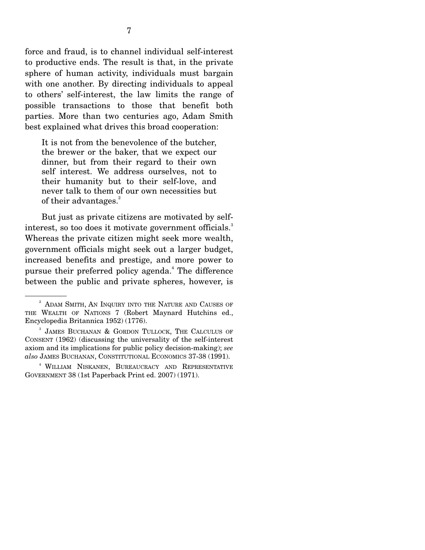force and fraud, is to channel individual self-interest to productive ends. The result is that, in the private sphere of human activity, individuals must bargain with one another. By directing individuals to appeal to others' self-interest, the law limits the range of possible transactions to those that benefit both parties. More than two centuries ago, Adam Smith best explained what drives this broad cooperation:

It is not from the benevolence of the butcher, the brewer or the baker, that we expect our dinner, but from their regard to their own self interest. We address ourselves, not to their humanity but to their self-love, and never talk to them of our own necessities but of their advantages.<sup>2</sup>

 But just as private citizens are motivated by selfinterest, so too does it motivate government officials.<sup>3</sup> Whereas the private citizen might seek more wealth, government officials might seek out a larger budget, increased benefits and prestige, and more power to pursue their preferred policy agenda.<sup>4</sup> The difference between the public and private spheres, however, is

<sup>&</sup>lt;sup>2</sup> ADAM SMITH, AN INQUIRY INTO THE NATURE AND CAUSES OF THE WEALTH OF NATIONS 7 (Robert Maynard Hutchins ed., Encyclopedia Britannica 1952) (1776).

<sup>3</sup> JAMES BUCHANAN & GORDON TULLOCK, THE CALCULUS OF CONSENT (1962) (discussing the universality of the self-interest axiom and its implications for public policy decision-making); *see also* JAMES BUCHANAN, CONSTITUTIONAL ECONOMICS 37-38 (1991).

<sup>4</sup> WILLIAM NISKANEN, BUREAUCRACY AND REPRESENTATIVE GOVERNMENT 38 (1st Paperback Print ed. 2007) (1971).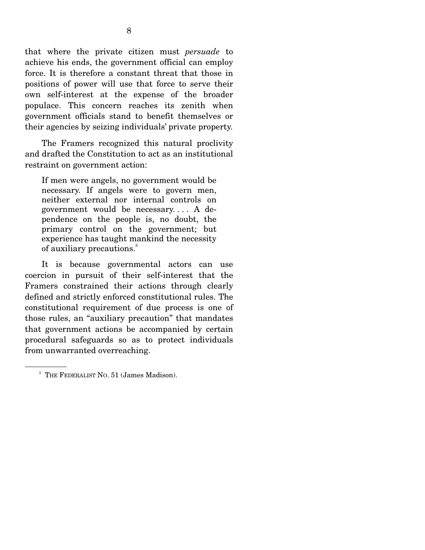that where the private citizen must *persuade* to achieve his ends, the government official can employ force. It is therefore a constant threat that those in positions of power will use that force to serve their own self-interest at the expense of the broader populace. This concern reaches its zenith when government officials stand to benefit themselves or their agencies by seizing individuals' private property.

 The Framers recognized this natural proclivity and drafted the Constitution to act as an institutional restraint on government action:

If men were angels, no government would be necessary. If angels were to govern men, neither external nor internal controls on government would be necessary. . . . A dependence on the people is, no doubt, the primary control on the government; but experience has taught mankind the necessity of auxiliary precautions.<sup>5</sup>

 It is because governmental actors can use coercion in pursuit of their self-interest that the Framers constrained their actions through clearly defined and strictly enforced constitutional rules. The constitutional requirement of due process is one of those rules, an "auxiliary precaution" that mandates that government actions be accompanied by certain procedural safeguards so as to protect individuals from unwarranted overreaching.

<sup>&</sup>lt;sup>5</sup> THE FEDERALIST NO. 51 (James Madison).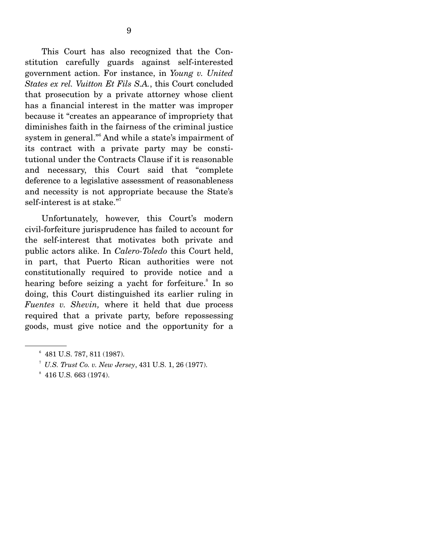This Court has also recognized that the Constitution carefully guards against self-interested government action. For instance, in *Young v. United States ex rel. Vuitton Et Fils S.A.*, this Court concluded that prosecution by a private attorney whose client has a financial interest in the matter was improper because it "creates an appearance of impropriety that diminishes faith in the fairness of the criminal justice system in general."<sup>6</sup> And while a state's impairment of its contract with a private party may be constitutional under the Contracts Clause if it is reasonable and necessary, this Court said that "complete deference to a legislative assessment of reasonableness and necessity is not appropriate because the State's self-interest is at stake."<sup>7</sup>

 Unfortunately, however, this Court's modern civil-forfeiture jurisprudence has failed to account for the self-interest that motivates both private and public actors alike. In *Calero-Toledo* this Court held, in part, that Puerto Rican authorities were not constitutionally required to provide notice and a hearing before seizing a yacht for forfeiture.<sup>8</sup> In so doing, this Court distinguished its earlier ruling in *Fuentes v. Shevin,* where it held that due process required that a private party, before repossessing goods, must give notice and the opportunity for a

<sup>6</sup> 481 U.S. 787, 811 (1987).

<sup>&</sup>lt;sup>7</sup> U.S. Trust Co. v. New Jersey, 431 U.S. 1, 26 (1977).

 $*$  416 U.S. 663 (1974).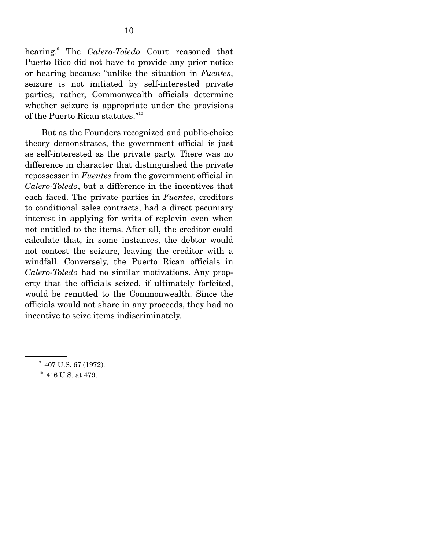hearing.<sup>9</sup> The *Calero-Toledo* Court reasoned that Puerto Rico did not have to provide any prior notice or hearing because "unlike the situation in *Fuentes*, seizure is not initiated by self-interested private parties; rather, Commonwealth officials determine whether seizure is appropriate under the provisions of the Puerto Rican statutes."<sup>10</sup>

 But as the Founders recognized and public-choice theory demonstrates, the government official is just as self-interested as the private party. There was no difference in character that distinguished the private repossesser in *Fuentes* from the government official in *Calero-Toledo*, but a difference in the incentives that each faced. The private parties in *Fuentes*, creditors to conditional sales contracts, had a direct pecuniary interest in applying for writs of replevin even when not entitled to the items. After all, the creditor could calculate that, in some instances, the debtor would not contest the seizure, leaving the creditor with a windfall. Conversely, the Puerto Rican officials in *Calero-Toledo* had no similar motivations. Any property that the officials seized, if ultimately forfeited, would be remitted to the Commonwealth. Since the officials would not share in any proceeds, they had no incentive to seize items indiscriminately.

 $10^{10}$  416 U.S. at 479.

<sup>&</sup>lt;sup>9</sup> 407 U.S. 67 (1972).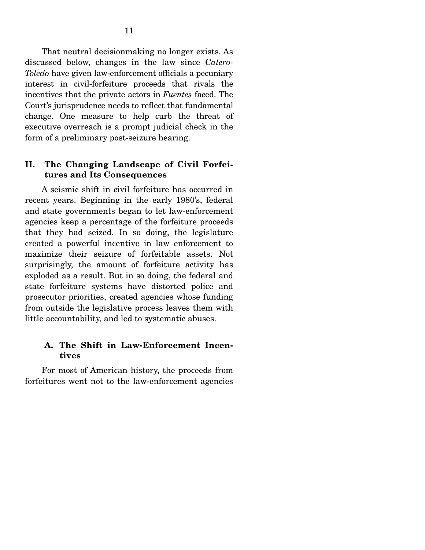That neutral decisionmaking no longer exists. As discussed below, changes in the law since *Calero-Toledo* have given law-enforcement officials a pecuniary interest in civil-forfeiture proceeds that rivals the incentives that the private actors in *Fuentes* faced. The Court's jurisprudence needs to reflect that fundamental change. One measure to help curb the threat of executive overreach is a prompt judicial check in the form of a preliminary post-seizure hearing.

#### **II. The Changing Landscape of Civil Forfeitures and Its Consequences**

 A seismic shift in civil forfeiture has occurred in recent years. Beginning in the early 1980's, federal and state governments began to let law-enforcement agencies keep a percentage of the forfeiture proceeds that they had seized. In so doing, the legislature created a powerful incentive in law enforcement to maximize their seizure of forfeitable assets. Not surprisingly, the amount of forfeiture activity has exploded as a result. But in so doing, the federal and state forfeiture systems have distorted police and prosecutor priorities, created agencies whose funding from outside the legislative process leaves them with little accountability, and led to systematic abuses.

#### **A. The Shift in Law-Enforcement Incentives**

 For most of American history, the proceeds from forfeitures went not to the law-enforcement agencies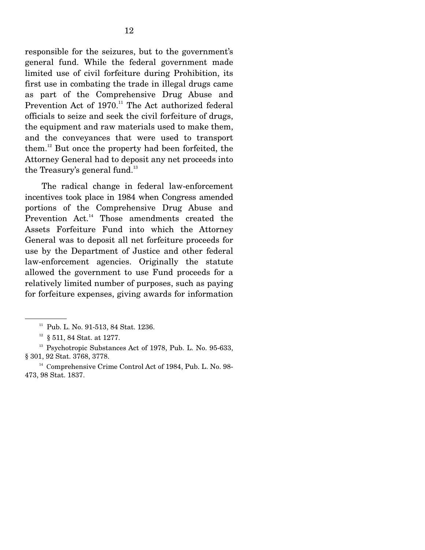responsible for the seizures, but to the government's general fund. While the federal government made limited use of civil forfeiture during Prohibition, its first use in combating the trade in illegal drugs came as part of the Comprehensive Drug Abuse and Prevention Act of  $1970$ .<sup>11</sup> The Act authorized federal officials to seize and seek the civil forfeiture of drugs, the equipment and raw materials used to make them, and the conveyances that were used to transport them.12 But once the property had been forfeited, the Attorney General had to deposit any net proceeds into the Treasury's general fund.<sup>13</sup>

 The radical change in federal law-enforcement incentives took place in 1984 when Congress amended portions of the Comprehensive Drug Abuse and Prevention Act.<sup>14</sup> Those amendments created the Assets Forfeiture Fund into which the Attorney General was to deposit all net forfeiture proceeds for use by the Department of Justice and other federal law-enforcement agencies. Originally the statute allowed the government to use Fund proceeds for a relatively limited number of purposes, such as paying for forfeiture expenses, giving awards for information

 $^{\rm 11}$  Pub. L. No. 91-513, 84 Stat. 1236.

 $12$  § 511, 84 Stat. at 1277.

<sup>&</sup>lt;sup>13</sup> Psychotropic Substances Act of 1978, Pub. L. No. 95-633, § 301, 92 Stat. 3768, 3778.

<sup>&</sup>lt;sup>14</sup> Comprehensive Crime Control Act of 1984, Pub. L. No. 98-473, 98 Stat. 1837.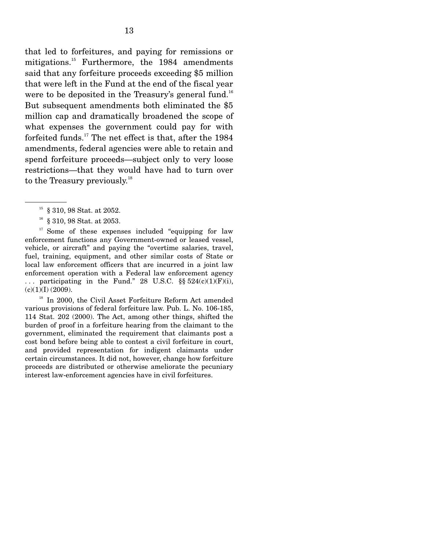that led to forfeitures, and paying for remissions or mitigations.<sup>15</sup> Furthermore, the 1984 amendments said that any forfeiture proceeds exceeding \$5 million that were left in the Fund at the end of the fiscal year were to be deposited in the Treasury's general fund.<sup>16</sup> But subsequent amendments both eliminated the \$5 million cap and dramatically broadened the scope of what expenses the government could pay for with forfeited funds.<sup>17</sup> The net effect is that, after the  $1984$ amendments, federal agencies were able to retain and spend forfeiture proceeds—subject only to very loose restrictions—that they would have had to turn over to the Treasury previously.<sup>18</sup>

 $17$  Some of these expenses included "equipping for law enforcement functions any Government-owned or leased vessel, vehicle, or aircraft" and paying the "overtime salaries, travel, fuel, training, equipment, and other similar costs of State or local law enforcement officers that are incurred in a joint law enforcement operation with a Federal law enforcement agency ... participating in the Fund." 28 U.S.C.  $\S\S 524(c)(1)(F)(i)$ ,  $(c)(1)(I)$  (2009).

<sup>18</sup> In 2000, the Civil Asset Forfeiture Reform Act amended various provisions of federal forfeiture law. Pub. L. No. 106-185, 114 Stat. 202 (2000). The Act, among other things, shifted the burden of proof in a forfeiture hearing from the claimant to the government, eliminated the requirement that claimants post a cost bond before being able to contest a civil forfeiture in court, and provided representation for indigent claimants under certain circumstances. It did not, however, change how forfeiture proceeds are distributed or otherwise ameliorate the pecuniary interest law-enforcement agencies have in civil forfeitures.

<sup>15 § 310, 98</sup> Stat. at 2052.

 $16$  § 310, 98 Stat. at 2053.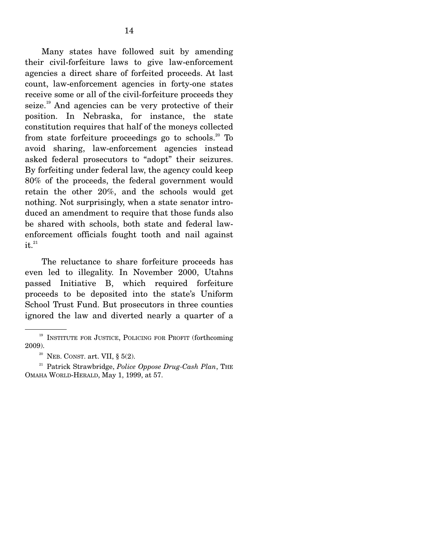Many states have followed suit by amending their civil-forfeiture laws to give law-enforcement agencies a direct share of forfeited proceeds. At last count, law-enforcement agencies in forty-one states receive some or all of the civil-forfeiture proceeds they seize.<sup>19</sup> And agencies can be very protective of their position. In Nebraska, for instance, the state constitution requires that half of the moneys collected from state forfeiture proceedings go to schools.<sup>20</sup> To avoid sharing, law-enforcement agencies instead asked federal prosecutors to "adopt" their seizures. By forfeiting under federal law, the agency could keep 80% of the proceeds, the federal government would retain the other 20%, and the schools would get nothing. Not surprisingly, when a state senator introduced an amendment to require that those funds also be shared with schools, both state and federal lawenforcement officials fought tooth and nail against  $it.<sup>21</sup>$ 

 The reluctance to share forfeiture proceeds has even led to illegality. In November 2000, Utahns passed Initiative B, which required forfeiture proceeds to be deposited into the state's Uniform School Trust Fund. But prosecutors in three counties ignored the law and diverted nearly a quarter of a

<sup>&</sup>lt;sup>19</sup> INSTITUTE FOR JUSTICE, POLICING FOR PROFIT (forthcoming 2009). <sup>20</sup> NEB. CONST. art. VII, § 5(2).

<sup>&</sup>lt;sup>21</sup> Patrick Strawbridge, *Police Oppose Drug-Cash Plan*, THE OMAHA WORLD-HERALD, May 1, 1999, at 57.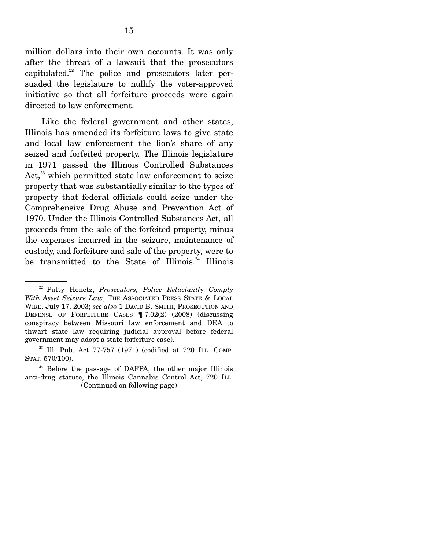million dollars into their own accounts. It was only after the threat of a lawsuit that the prosecutors capitulated.<sup>22</sup> The police and prosecutors later persuaded the legislature to nullify the voter-approved initiative so that all forfeiture proceeds were again directed to law enforcement.

 Like the federal government and other states, Illinois has amended its forfeiture laws to give state and local law enforcement the lion's share of any seized and forfeited property. The Illinois legislature in 1971 passed the Illinois Controlled Substances Act, $^{23}$  which permitted state law enforcement to seize property that was substantially similar to the types of property that federal officials could seize under the Comprehensive Drug Abuse and Prevention Act of 1970. Under the Illinois Controlled Substances Act, all proceeds from the sale of the forfeited property, minus the expenses incurred in the seizure, maintenance of custody, and forfeiture and sale of the property, were to be transmitted to the State of Illinois.<sup>24</sup> Illinois

<sup>22</sup> Patty Henetz, *Prosecutors, Police Reluctantly Comply With Asset Seizure Law*, THE ASSOCIATED PRESS STATE & LOCAL WIRE, July 17, 2003; *see also* 1 DAVID B. SMITH, PROSECUTION AND DEFENSE OF FORFEITURE CASES ¶ 7.02(2) (2008) (discussing conspiracy between Missouri law enforcement and DEA to thwart state law requiring judicial approval before federal government may adopt a state forfeiture case).

 $23$  Ill. Pub. Act 77-757 (1971) (codified at 720 ILL. COMP. STAT. 570/100).

 $24$  Before the passage of DAFPA, the other major Illinois anti-drug statute, the Illinois Cannabis Control Act, 720 ILL. (Continued on following page)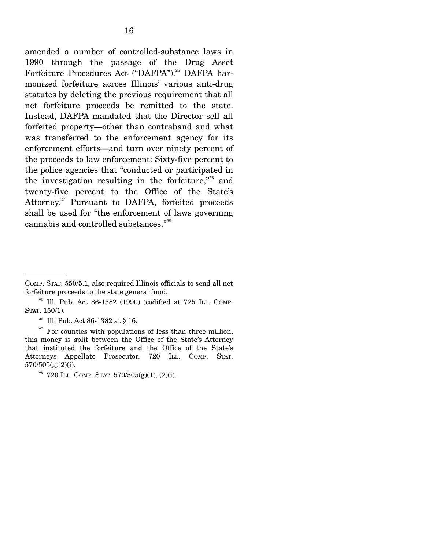amended a number of controlled-substance laws in 1990 through the passage of the Drug Asset Forfeiture Procedures Act ("DAFPA").<sup>25</sup> DAFPA harmonized forfeiture across Illinois' various anti-drug statutes by deleting the previous requirement that all net forfeiture proceeds be remitted to the state. Instead, DAFPA mandated that the Director sell all forfeited property—other than contraband and what was transferred to the enforcement agency for its enforcement efforts—and turn over ninety percent of the proceeds to law enforcement: Sixty-five percent to the police agencies that "conducted or participated in the investigation resulting in the forfeiture, $^{326}$  and twenty-five percent to the Office of the State's Attorney.<sup>27</sup> Pursuant to DAFPA, forfeited proceeds shall be used for "the enforcement of laws governing cannabis and controlled substances."28

<sup>26</sup> Ill. Pub. Act 86-1382 at § 16.

 $27$  For counties with populations of less than three million, this money is split between the Office of the State's Attorney that instituted the forfeiture and the Office of the State's Attorneys Appellate Prosecutor. 720 ILL. COMP. STAT. 570/505(g)(2)(i).

COMP. STAT. 550/5.1, also required Illinois officials to send all net forfeiture proceeds to the state general fund.

 $25$  Ill. Pub. Act 86-1382 (1990) (codified at 725 ILL. COMP. STAT. 150/1).

<sup>&</sup>lt;sup>28</sup> 720 ILL. COMP. STAT.  $570/505(g)(1)$ ,  $(2)(i)$ .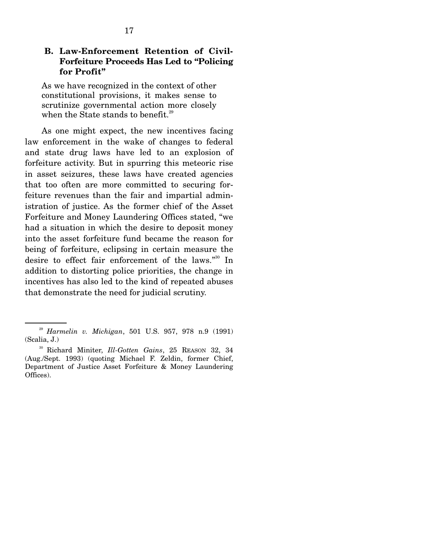#### **B. Law-Enforcement Retention of Civil-Forfeiture Proceeds Has Led to "Policing for Profit"**

As we have recognized in the context of other constitutional provisions, it makes sense to scrutinize governmental action more closely when the State stands to benefit.<sup>29</sup>

 As one might expect, the new incentives facing law enforcement in the wake of changes to federal and state drug laws have led to an explosion of forfeiture activity. But in spurring this meteoric rise in asset seizures, these laws have created agencies that too often are more committed to securing forfeiture revenues than the fair and impartial administration of justice. As the former chief of the Asset Forfeiture and Money Laundering Offices stated, "we had a situation in which the desire to deposit money into the asset forfeiture fund became the reason for being of forfeiture, eclipsing in certain measure the desire to effect fair enforcement of the laws."30 In addition to distorting police priorities, the change in incentives has also led to the kind of repeated abuses that demonstrate the need for judicial scrutiny.

<sup>29</sup> *Harmelin v. Michigan*, 501 U.S. 957, 978 n.9 (1991) (Scalia, J.) 30 Richard Miniter, *Ill-Gotten Gains*, 25 REASON 32, 34

<sup>(</sup>Aug./Sept. 1993) (quoting Michael F. Zeldin, former Chief, Department of Justice Asset Forfeiture & Money Laundering Offices).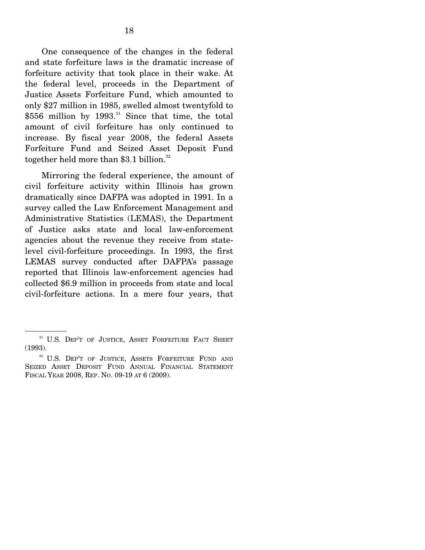One consequence of the changes in the federal and state forfeiture laws is the dramatic increase of forfeiture activity that took place in their wake. At the federal level, proceeds in the Department of Justice Assets Forfeiture Fund, which amounted to only \$27 million in 1985, swelled almost twentyfold to  $$556$  million by 1993.<sup>31</sup> Since that time, the total amount of civil forfeiture has only continued to increase. By fiscal year 2008, the federal Assets Forfeiture Fund and Seized Asset Deposit Fund together held more than \$3.1 billion. $32$ 

 Mirroring the federal experience, the amount of civil forfeiture activity within Illinois has grown dramatically since DAFPA was adopted in 1991. In a survey called the Law Enforcement Management and Administrative Statistics (LEMAS), the Department of Justice asks state and local law-enforcement agencies about the revenue they receive from statelevel civil-forfeiture proceedings. In 1993, the first LEMAS survey conducted after DAFPA's passage reported that Illinois law-enforcement agencies had collected \$6.9 million in proceeds from state and local civil-forfeiture actions. In a mere four years, that

<sup>&</sup>lt;sup>31</sup> U.S. DEP'T OF JUSTICE, ASSET FORFEITURE FACT SHEET (1993).

<sup>&</sup>lt;sup>32</sup> U.S. DEP'T OF JUSTICE, ASSETS FORFEITURE FUND AND SEIZED ASSET DEPOSIT FUND ANNUAL FINANCIAL STATEMENT FISCAL YEAR 2008, REP. NO. 09-19 AT 6 (2009).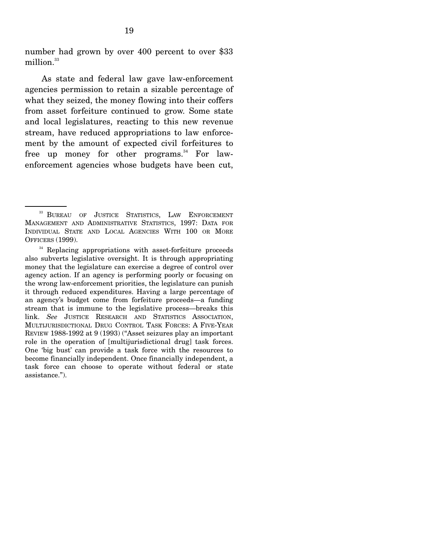number had grown by over 400 percent to over \$33 million.<sup>33</sup>

 As state and federal law gave law-enforcement agencies permission to retain a sizable percentage of what they seized, the money flowing into their coffers from asset forfeiture continued to grow. Some state and local legislatures, reacting to this new revenue stream, have reduced appropriations to law enforcement by the amount of expected civil forfeitures to free up money for other programs.<sup>34</sup> For lawenforcement agencies whose budgets have been cut,

<sup>&</sup>lt;sup>33</sup> BUREAU OF JUSTICE STATISTICS, LAW ENFORCEMENT MANAGEMENT AND ADMINISTRATIVE STATISTICS, 1997: DATA FOR INDIVIDUAL STATE AND LOCAL AGENCIES WITH 100 OR MORE OFFICERS (1999).

<sup>&</sup>lt;sup>34</sup> Replacing appropriations with asset-forfeiture proceeds also subverts legislative oversight. It is through appropriating money that the legislature can exercise a degree of control over agency action. If an agency is performing poorly or focusing on the wrong law-enforcement priorities, the legislature can punish it through reduced expenditures. Having a large percentage of an agency's budget come from forfeiture proceeds—a funding stream that is immune to the legislative process—breaks this link. *See* JUSTICE RESEARCH AND STATISTICS ASSOCIATION, MULTIJURISDICTIONAL DRUG CONTROL TASK FORCES: A FIVE-YEAR REVIEW 1988-1992 at 9 (1993) ("Asset seizures play an important role in the operation of [multijurisdictional drug] task forces. One 'big bust' can provide a task force with the resources to become financially independent. Once financially independent, a task force can choose to operate without federal or state assistance.").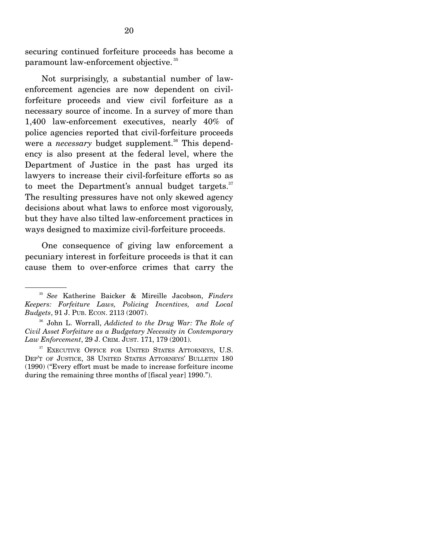securing continued forfeiture proceeds has become a paramount law-enforcement objective. 35

 Not surprisingly, a substantial number of lawenforcement agencies are now dependent on civilforfeiture proceeds and view civil forfeiture as a necessary source of income. In a survey of more than 1,400 law-enforcement executives, nearly 40% of police agencies reported that civil-forfeiture proceeds were a *necessary* budget supplement.<sup>36</sup> This dependency is also present at the federal level, where the Department of Justice in the past has urged its lawyers to increase their civil-forfeiture efforts so as to meet the Department's annual budget targets. $37$ The resulting pressures have not only skewed agency decisions about what laws to enforce most vigorously, but they have also tilted law-enforcement practices in ways designed to maximize civil-forfeiture proceeds.

 One consequence of giving law enforcement a pecuniary interest in forfeiture proceeds is that it can cause them to over-enforce crimes that carry the

<sup>35</sup> *See* Katherine Baicker & Mireille Jacobson, *Finders Keepers: Forfeiture Laws, Policing Incentives, and Local Budgets*, 91 J. PUB. ECON. 2113 (2007).

<sup>36</sup> John L. Worrall, *Addicted to the Drug War: The Role of Civil Asset Forfeiture as a Budgetary Necessity in Contemporary Law Enforcement*, 29 J. CRIM. JUST. 171, 179 (2001).

<sup>&</sup>lt;sup>37</sup> EXECUTIVE OFFICE FOR UNITED STATES ATTORNEYS, U.S. DEP'T OF JUSTICE, 38 UNITED STATES ATTORNEYS' BULLETIN 180 (1990) ("Every effort must be made to increase forfeiture income during the remaining three months of [fiscal year] 1990.").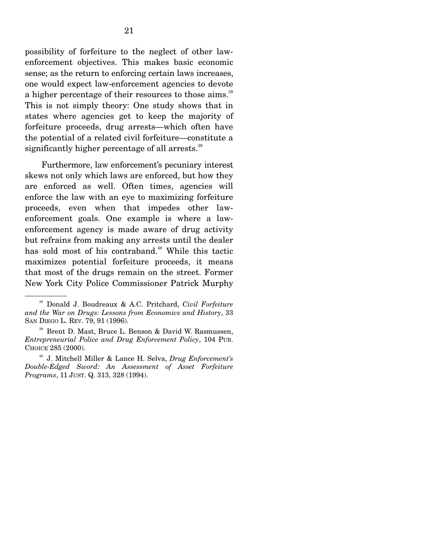possibility of forfeiture to the neglect of other lawenforcement objectives. This makes basic economic sense; as the return to enforcing certain laws increases, one would expect law-enforcement agencies to devote a higher percentage of their resources to those aims.<sup>38</sup> This is not simply theory: One study shows that in states where agencies get to keep the majority of forfeiture proceeds, drug arrests—which often have the potential of a related civil forfeiture—constitute a significantly higher percentage of all arrests.<sup>39</sup>

 Furthermore, law enforcement's pecuniary interest skews not only which laws are enforced, but how they are enforced as well. Often times, agencies will enforce the law with an eye to maximizing forfeiture proceeds, even when that impedes other lawenforcement goals. One example is where a lawenforcement agency is made aware of drug activity but refrains from making any arrests until the dealer has sold most of his contraband.<sup>40</sup> While this tactic maximizes potential forfeiture proceeds, it means that most of the drugs remain on the street. Former New York City Police Commissioner Patrick Murphy

<sup>38</sup> Donald J. Boudreaux & A.C. Pritchard, *Civil Forfeiture and the War on Drugs: Lessons from Economics and History*, 33 SAN DIEGO L. REV. 79, 91 (1996).

<sup>39</sup> Brent D. Mast, Bruce L. Benson & David W. Rasmussen, *Entrepreneurial Police and Drug Enforcement Policy*, 104 PUB. CHOICE 285 (2000).

<sup>40</sup> J. Mitchell Miller & Lance H. Selva, *Drug Enforcement's Double-Edged Sword: An Assessment of Asset Forfeiture Programs*, 11 JUST. Q. 313, 328 (1994).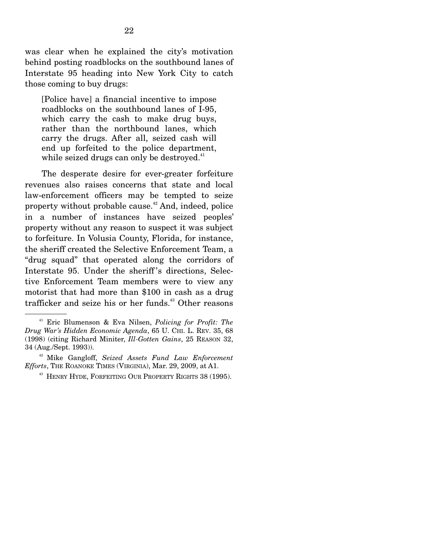was clear when he explained the city's motivation behind posting roadblocks on the southbound lanes of Interstate 95 heading into New York City to catch those coming to buy drugs:

[Police have] a financial incentive to impose roadblocks on the southbound lanes of I-95, which carry the cash to make drug buys, rather than the northbound lanes, which carry the drugs. After all, seized cash will end up forfeited to the police department, while seized drugs can only be destroyed. $41$ 

 The desperate desire for ever-greater forfeiture revenues also raises concerns that state and local law-enforcement officers may be tempted to seize property without probable cause.<sup>42</sup> And, indeed, police in a number of instances have seized peoples' property without any reason to suspect it was subject to forfeiture. In Volusia County, Florida, for instance, the sheriff created the Selective Enforcement Team, a "drug squad" that operated along the corridors of Interstate 95. Under the sheriff 's directions, Selective Enforcement Team members were to view any motorist that had more than \$100 in cash as a drug trafficker and seize his or her funds. $43$  Other reasons

<sup>41</sup> Eric Blumenson & Eva Nilsen, *Policing for Profit: The Drug War's Hidden Economic Agenda*, 65 U. CHI. L. REV. 35, 68 (1998) (citing Richard Miniter, *Ill-Gotten Gains*, 25 REASON 32, 34 (Aug./Sept. 1993)). 42 Mike Gangloff, *Seized Assets Fund Law Enforcement* 

*Efforts*, The ROANOKE TIMES (VIRGINIA), Mar. 29, 2009, at A1.<br><sup>43</sup> HENRY HYDE, FORFEITING OUR PROPERTY RIGHTS 38 (1995).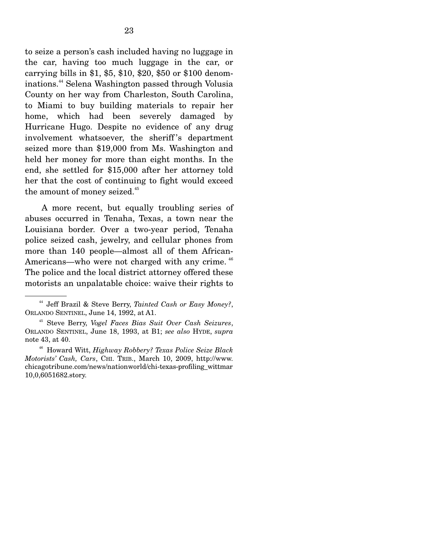to seize a person's cash included having no luggage in the car, having too much luggage in the car, or carrying bills in \$1, \$5, \$10, \$20, \$50 or \$100 denominations.44 Selena Washington passed through Volusia County on her way from Charleston, South Carolina, to Miami to buy building materials to repair her home, which had been severely damaged by Hurricane Hugo. Despite no evidence of any drug involvement whatsoever, the sheriff 's department seized more than \$19,000 from Ms. Washington and held her money for more than eight months. In the end, she settled for \$15,000 after her attorney told her that the cost of continuing to fight would exceed the amount of money seized.<sup>45</sup>

 A more recent, but equally troubling series of abuses occurred in Tenaha, Texas, a town near the Louisiana border. Over a two-year period, Tenaha police seized cash, jewelry, and cellular phones from more than 140 people—almost all of them African-Americans—who were not charged with any crime.  $46$ The police and the local district attorney offered these motorists an unpalatable choice: waive their rights to

<sup>44</sup> Jeff Brazil & Steve Berry, *Tainted Cash or Easy Money?*, ORLANDO SENTINEL, June 14, 1992, at A1.

<sup>45</sup> Steve Berry, *Vogel Faces Bias Suit Over Cash Seizures*, ORLANDO SENTINEL, June 18, 1993, at B1; *see also* HYDE, *supra* note 43, at 40. 46 Howard Witt, *Highway Robbery? Texas Police Seize Black* 

*Motorists' Cash, Cars*, CHI. TRIB., March 10, 2009, http://www. chicagotribune.com/news/nationworld/chi-texas-profiling\_wittmar 10,0,6051682.story.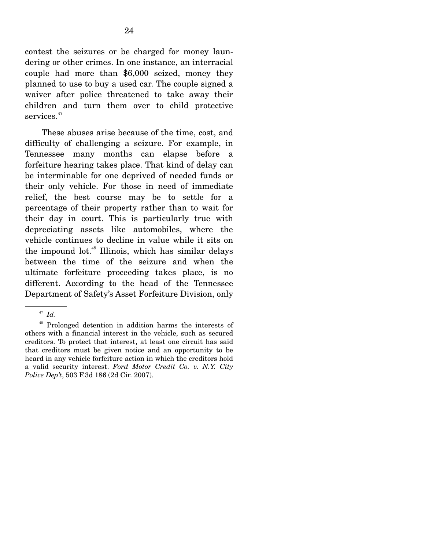contest the seizures or be charged for money laundering or other crimes. In one instance, an interracial couple had more than \$6,000 seized, money they planned to use to buy a used car. The couple signed a waiver after police threatened to take away their children and turn them over to child protective services.<sup>47</sup>

 These abuses arise because of the time, cost, and difficulty of challenging a seizure. For example, in Tennessee many months can elapse before a forfeiture hearing takes place. That kind of delay can be interminable for one deprived of needed funds or their only vehicle. For those in need of immediate relief, the best course may be to settle for a percentage of their property rather than to wait for their day in court. This is particularly true with depreciating assets like automobiles, where the vehicle continues to decline in value while it sits on the impound lot.<sup>48</sup> Illinois, which has similar delays between the time of the seizure and when the ultimate forfeiture proceeding takes place, is no different. According to the head of the Tennessee Department of Safety's Asset Forfeiture Division, only

48 Prolonged detention in addition harms the interests of others with a financial interest in the vehicle, such as secured creditors. To protect that interest, at least one circuit has said that creditors must be given notice and an opportunity to be heard in any vehicle forfeiture action in which the creditors hold a valid security interest. *Ford Motor Credit Co. v. N.Y. City Police Dep't*, 503 F.3d 186 (2d Cir. 2007).

<sup>47</sup> *Id*.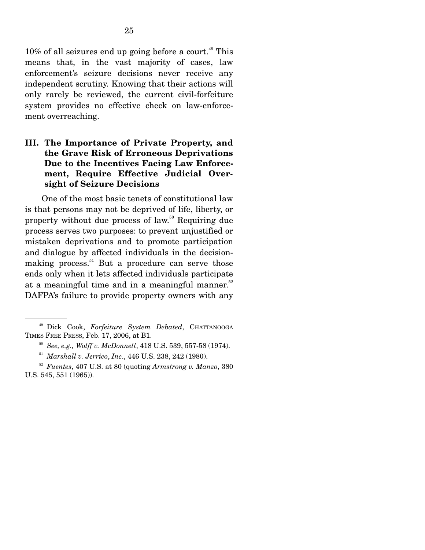$10\%$  of all seizures end up going before a court.<sup>49</sup> This means that, in the vast majority of cases, law enforcement's seizure decisions never receive any independent scrutiny. Knowing that their actions will only rarely be reviewed, the current civil-forfeiture system provides no effective check on law-enforcement overreaching.

### **III. The Importance of Private Property, and the Grave Risk of Erroneous Deprivations Due to the Incentives Facing Law Enforcement, Require Effective Judicial Oversight of Seizure Decisions**

 One of the most basic tenets of constitutional law is that persons may not be deprived of life, liberty, or property without due process of law.50 Requiring due process serves two purposes: to prevent unjustified or mistaken deprivations and to promote participation and dialogue by affected individuals in the decisionmaking process. $51$  But a procedure can serve those ends only when it lets affected individuals participate at a meaningful time and in a meaningful manner. $52$ DAFPA's failure to provide property owners with any

<sup>&</sup>lt;sup>49</sup> Dick Cook, *Forfeiture System Debated*, CHATTANOOGA TIMES FREE PRESS, Feb. 17, 2006, at B1.

<sup>&</sup>lt;sup>50</sup> See, e.g., Wolff v. McDonnell, 418 U.S. 539, 557-58 (1974).

<sup>51</sup> *Marshall v. Jerrico*, *Inc*., 446 U.S. 238, 242 (1980).

<sup>52</sup> *Fuentes*, 407 U.S. at 80 (quoting *Armstrong v. Manzo*, 380 U.S. 545, 551 (1965)).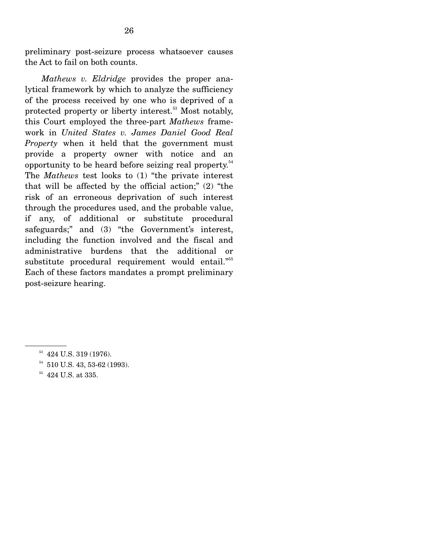preliminary post-seizure process whatsoever causes the Act to fail on both counts.

 *Mathews v. Eldridge* provides the proper analytical framework by which to analyze the sufficiency of the process received by one who is deprived of a protected property or liberty interest.<sup>53</sup> Most notably, this Court employed the three-part *Mathews* framework in *United States v. James Daniel Good Real Property* when it held that the government must provide a property owner with notice and an opportunity to be heard before seizing real property.54 The *Mathews* test looks to (1) "the private interest that will be affected by the official action;" (2) "the risk of an erroneous deprivation of such interest through the procedures used, and the probable value, if any, of additional or substitute procedural safeguards;" and (3) "the Government's interest, including the function involved and the fiscal and administrative burdens that the additional or substitute procedural requirement would entail."<sup>55</sup> Each of these factors mandates a prompt preliminary post-seizure hearing.

<sup>&</sup>lt;sup>53</sup> 424 U.S. 319 (1976).

<sup>54 510</sup> U.S. 43, 53-62 (1993).

<sup>&</sup>lt;sup>55</sup> 424 U.S. at 335.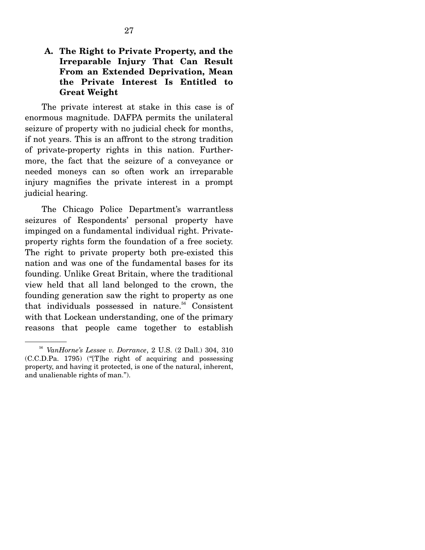### **A. The Right to Private Property, and the Irreparable Injury That Can Result From an Extended Deprivation, Mean the Private Interest Is Entitled to Great Weight**

 The private interest at stake in this case is of enormous magnitude. DAFPA permits the unilateral seizure of property with no judicial check for months, if not years. This is an affront to the strong tradition of private-property rights in this nation. Furthermore, the fact that the seizure of a conveyance or needed moneys can so often work an irreparable injury magnifies the private interest in a prompt judicial hearing.

 The Chicago Police Department's warrantless seizures of Respondents' personal property have impinged on a fundamental individual right. Privateproperty rights form the foundation of a free society. The right to private property both pre-existed this nation and was one of the fundamental bases for its founding. Unlike Great Britain, where the traditional view held that all land belonged to the crown, the founding generation saw the right to property as one that individuals possessed in nature.<sup>56</sup> Consistent with that Lockean understanding, one of the primary reasons that people came together to establish

<sup>56</sup> *VanHorne's Lessee v. Dorrance*, 2 U.S. (2 Dall.) 304, 310 (C.C.D.Pa. 1795) ("[T]he right of acquiring and possessing property, and having it protected, is one of the natural, inherent, and unalienable rights of man.").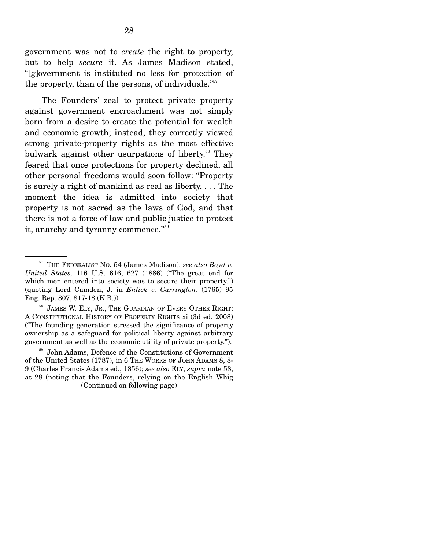government was not to *create* the right to property, but to help *secure* it. As James Madison stated, "[g]overnment is instituted no less for protection of the property, than of the persons, of individuals. $557$ 

 The Founders' zeal to protect private property against government encroachment was not simply born from a desire to create the potential for wealth and economic growth; instead, they correctly viewed strong private-property rights as the most effective bulwark against other usurpations of liberty.<sup>58</sup> They feared that once protections for property declined, all other personal freedoms would soon follow: "Property is surely a right of mankind as real as liberty. . . . The moment the idea is admitted into society that property is not sacred as the laws of God, and that there is not a force of law and public justice to protect it, anarchy and tyranny commence."<sup>59</sup>

JAMES W. ELY, JR., THE GUARDIAN OF EVERY OTHER RIGHT: A CONSTITUTIONAL HISTORY OF PROPERTY RIGHTS xi (3d ed. 2008) ("The founding generation stressed the significance of property ownership as a safeguard for political liberty against arbitrary government as well as the economic utility of private property.").

John Adams, Defence of the Constitutions of Government of the United States (1787), in 6 THE WORKS OF JOHN ADAMS 8, 8- 9 (Charles Francis Adams ed., 1856); *see also* ELY, *supra* note 58, at 28 (noting that the Founders, relying on the English Whig (Continued on following page)

<sup>57</sup> THE FEDERALIST NO. 54 (James Madison); *see also Boyd v. United States,* 116 U.S. 616, 627 (1886) ("The great end for which men entered into society was to secure their property.") (quoting Lord Camden, J. in *Entick v. Carrington*, (1765) 95 Eng. Rep. 807, 817-18 (K.B.)).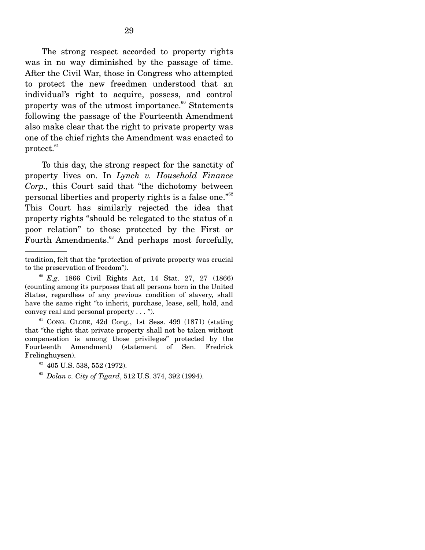The strong respect accorded to property rights was in no way diminished by the passage of time. After the Civil War, those in Congress who attempted to protect the new freedmen understood that an individual's right to acquire, possess, and control property was of the utmost importance. $60$  Statements following the passage of the Fourteenth Amendment also make clear that the right to private property was one of the chief rights the Amendment was enacted to  $protect.<sub>61</sub>$ 

 To this day, the strong respect for the sanctity of property lives on. In *Lynch v. Household Finance Corp.,* this Court said that *"*the dichotomy between personal liberties and property rights is a false one."62 This Court has similarly rejected the idea that property rights "should be relegated to the status of a poor relation" to those protected by the First or Fourth Amendments.<sup>63</sup> And perhaps most forcefully,

 $61$  CONG. GLOBE, 42d Cong., 1st Sess. 499 (1871) (stating that "the right that private property shall not be taken without compensation is among those privileges" protected by the Fourteenth Amendment) (statement of Sen. Fredrick Frelinghuysen).

tradition, felt that the "protection of private property was crucial to the preservation of freedom").

<sup>60</sup> *E.g*. 1866 Civil Rights Act, 14 Stat. 27, 27 (1866) (counting among its purposes that all persons born in the United States, regardless of any previous condition of slavery, shall have the same right "to inherit, purchase, lease, sell, hold, and convey real and personal property . . . ").

 $62$  405 U.S. 538, 552 (1972).

<sup>63</sup> *Dolan v. City of Tigard*, 512 U.S. 374, 392 (1994).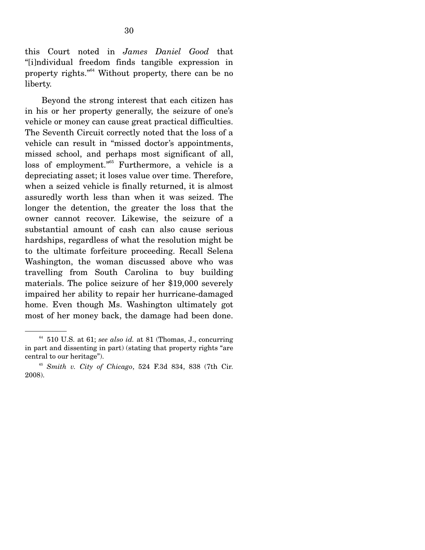this Court noted in *James Daniel Good* that "[i]ndividual freedom finds tangible expression in property rights."64 Without property, there can be no liberty.

 Beyond the strong interest that each citizen has in his or her property generally, the seizure of one's vehicle or money can cause great practical difficulties. The Seventh Circuit correctly noted that the loss of a vehicle can result in "missed doctor's appointments, missed school, and perhaps most significant of all, loss of employment."65 Furthermore, a vehicle is a depreciating asset; it loses value over time. Therefore, when a seized vehicle is finally returned, it is almost assuredly worth less than when it was seized. The longer the detention, the greater the loss that the owner cannot recover. Likewise, the seizure of a substantial amount of cash can also cause serious hardships, regardless of what the resolution might be to the ultimate forfeiture proceeding. Recall Selena Washington, the woman discussed above who was travelling from South Carolina to buy building materials. The police seizure of her \$19,000 severely impaired her ability to repair her hurricane-damaged home. Even though Ms. Washington ultimately got most of her money back, the damage had been done.

 $64$  510 U.S. at 61; *see also id.* at 81 (Thomas, J., concurring in part and dissenting in part) (stating that property rights "are central to our heritage").

<sup>65</sup> *Smith v. City of Chicago*, 524 F.3d 834, 838 (7th Cir. 2008).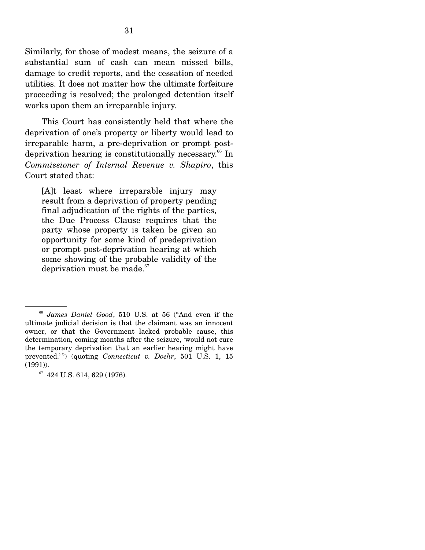Similarly, for those of modest means, the seizure of a substantial sum of cash can mean missed bills, damage to credit reports, and the cessation of needed utilities. It does not matter how the ultimate forfeiture proceeding is resolved; the prolonged detention itself works upon them an irreparable injury.

 This Court has consistently held that where the deprivation of one's property or liberty would lead to irreparable harm, a pre-deprivation or prompt postdeprivation hearing is constitutionally necessary.<sup>66</sup> In *Commissioner of Internal Revenue v. Shapiro*, this Court stated that:

[A]t least where irreparable injury may result from a deprivation of property pending final adjudication of the rights of the parties, the Due Process Clause requires that the party whose property is taken be given an opportunity for some kind of predeprivation or prompt post-deprivation hearing at which some showing of the probable validity of the deprivation must be made. $67$ 

<sup>66</sup> *James Daniel Good*, 510 U.S. at 56 ("And even if the ultimate judicial decision is that the claimant was an innocent owner, or that the Government lacked probable cause, this determination, coming months after the seizure, 'would not cure the temporary deprivation that an earlier hearing might have prevented.'") (quoting *Connecticut v. Doehr*, 501 U.S. 1, 15 (1991)).

<sup>&</sup>lt;sup>67</sup> 424 U.S. 614, 629 (1976).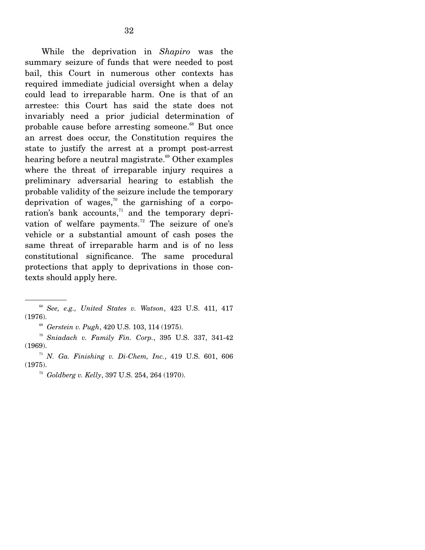While the deprivation in *Shapiro* was the summary seizure of funds that were needed to post bail, this Court in numerous other contexts has required immediate judicial oversight when a delay could lead to irreparable harm. One is that of an arrestee: this Court has said the state does not invariably need a prior judicial determination of probable cause before arresting someone.<sup>68</sup> But once an arrest does occur, the Constitution requires the state to justify the arrest at a prompt post-arrest hearing before a neutral magistrate.<sup>69</sup> Other examples where the threat of irreparable injury requires a preliminary adversarial hearing to establish the probable validity of the seizure include the temporary deprivation of wages,<sup>70</sup> the garnishing of a corporation's bank accounts, $71$  and the temporary deprivation of welfare payments.<sup>72</sup> The seizure of one's vehicle or a substantial amount of cash poses the same threat of irreparable harm and is of no less constitutional significance. The same procedural protections that apply to deprivations in those contexts should apply here.

<sup>68</sup> *See, e.g., United States v. Watson*, 423 U.S. 411, 417 (1976).

<sup>69</sup> *Gerstein v. Pugh*, 420 U.S. 103, 114 (1975).

<sup>70</sup> *Sniadach v. Family Fin. Corp.*, 395 U.S. 337, 341-42 (1969). 71 *N. Ga. Finishing v. Di-Chem, Inc.*, 419 U.S. 601, 606

<sup>(1975).</sup> 

<sup>72</sup> *Goldberg v. Kelly*, 397 U.S. 254, 264 (1970).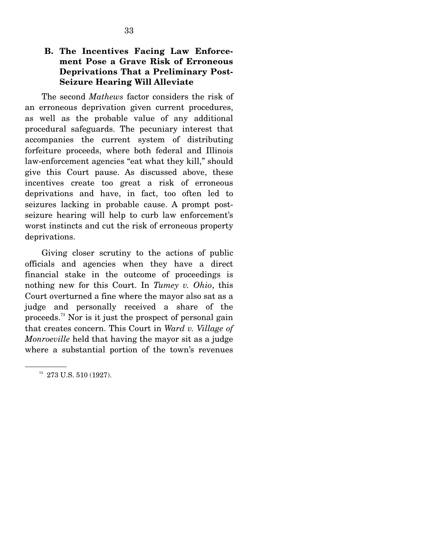### **B. The Incentives Facing Law Enforcement Pose a Grave Risk of Erroneous Deprivations That a Preliminary Post-Seizure Hearing Will Alleviate**

 The second *Mathews* factor considers the risk of an erroneous deprivation given current procedures, as well as the probable value of any additional procedural safeguards. The pecuniary interest that accompanies the current system of distributing forfeiture proceeds, where both federal and Illinois law-enforcement agencies "eat what they kill," should give this Court pause. As discussed above, these incentives create too great a risk of erroneous deprivations and have, in fact, too often led to seizures lacking in probable cause. A prompt postseizure hearing will help to curb law enforcement's worst instincts and cut the risk of erroneous property deprivations.

 Giving closer scrutiny to the actions of public officials and agencies when they have a direct financial stake in the outcome of proceedings is nothing new for this Court. In *Tumey v. Ohio*, this Court overturned a fine where the mayor also sat as a judge and personally received a share of the proceeds.73 Nor is it just the prospect of personal gain that creates concern. This Court in *Ward v. Village of Monroeville* held that having the mayor sit as a judge where a substantial portion of the town's revenues

 $^{73}$  273 U.S. 510 (1927).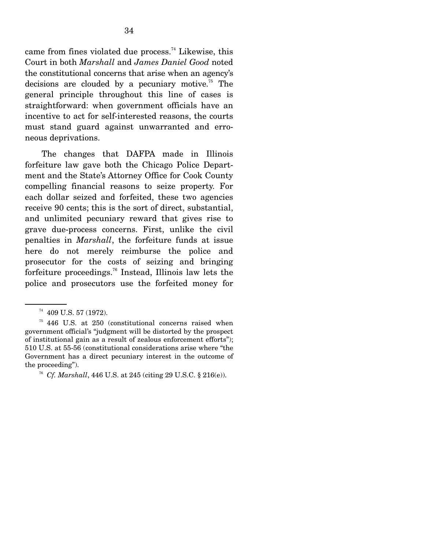came from fines violated due process.<sup>74</sup> Likewise, this Court in both *Marshall* and *James Daniel Good* noted the constitutional concerns that arise when an agency's decisions are clouded by a pecuniary motive.<sup>75</sup> The general principle throughout this line of cases is straightforward: when government officials have an incentive to act for self-interested reasons, the courts must stand guard against unwarranted and erroneous deprivations.

 The changes that DAFPA made in Illinois forfeiture law gave both the Chicago Police Department and the State's Attorney Office for Cook County compelling financial reasons to seize property. For each dollar seized and forfeited, these two agencies receive 90 cents; this is the sort of direct, substantial, and unlimited pecuniary reward that gives rise to grave due-process concerns. First, unlike the civil penalties in *Marshall*, the forfeiture funds at issue here do not merely reimburse the police and prosecutor for the costs of seizing and bringing forfeiture proceedings.76 Instead, Illinois law lets the police and prosecutors use the forfeited money for

75 446 U.S. at 250 (constitutional concerns raised when government official's "judgment will be distorted by the prospect of institutional gain as a result of zealous enforcement efforts"); 510 U.S. at 55-56 (constitutional considerations arise where "the Government has a direct pecuniary interest in the outcome of the proceeding").

<sup>74 409</sup> U.S. 57 (1972).

<sup>76</sup> *Cf. Marshall*, 446 U.S. at 245 (citing 29 U.S.C. § 216(e)).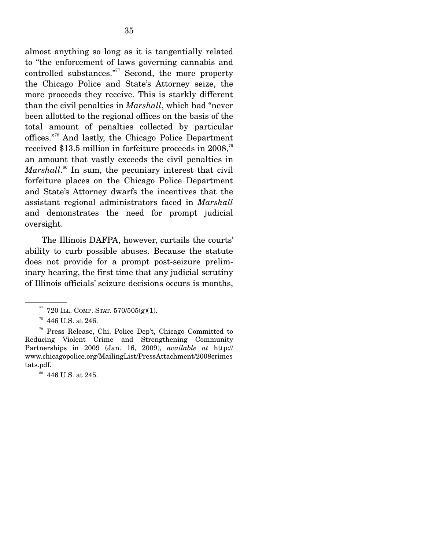almost anything so long as it is tangentially related to "the enforcement of laws governing cannabis and controlled substances." $77$  Second, the more property the Chicago Police and State's Attorney seize, the more proceeds they receive. This is starkly different than the civil penalties in *Marshall*, which had "never been allotted to the regional offices on the basis of the total amount of penalties collected by particular offices."78 And lastly, the Chicago Police Department received \$13.5 million in forfeiture proceeds in 2008,<sup>79</sup> an amount that vastly exceeds the civil penalties in Marshall.<sup>80</sup> In sum, the pecuniary interest that civil forfeiture places on the Chicago Police Department and State's Attorney dwarfs the incentives that the assistant regional administrators faced in *Marshall* and demonstrates the need for prompt judicial oversight.

 The Illinois DAFPA, however, curtails the courts' ability to curb possible abuses. Because the statute does not provide for a prompt post-seizure preliminary hearing, the first time that any judicial scrutiny of Illinois officials' seizure decisions occurs is months,

 $\,^{\text{80}}\,$  446 U.S. at 245.

 $77$  720 ILL. COMP. STAT.  $570/505(g)(1)$ .

 $78$  446 U.S. at 246.

<sup>79</sup> Press Release, Chi. Police Dep't, Chicago Committed to Reducing Violent Crime and Strengthening Community Partnerships in 2009 (Jan. 16, 2009), *available at* http:// www.chicagopolice.org/MailingList/PressAttachment/2008crimes tats.pdf.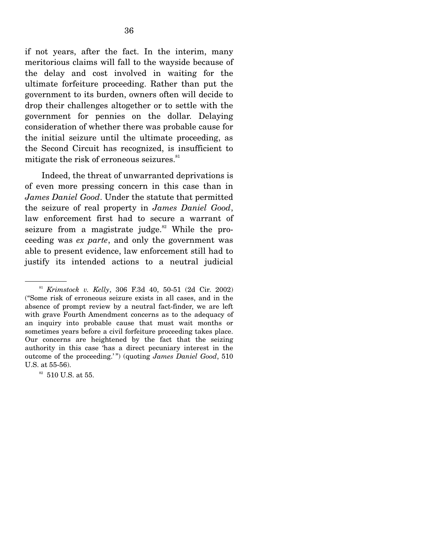if not years, after the fact. In the interim, many meritorious claims will fall to the wayside because of the delay and cost involved in waiting for the ultimate forfeiture proceeding. Rather than put the government to its burden, owners often will decide to drop their challenges altogether or to settle with the government for pennies on the dollar. Delaying consideration of whether there was probable cause for the initial seizure until the ultimate proceeding, as the Second Circuit has recognized, is insufficient to mitigate the risk of erroneous seizures.<sup>81</sup>

 Indeed, the threat of unwarranted deprivations is of even more pressing concern in this case than in *James Daniel Good*. Under the statute that permitted the seizure of real property in *James Daniel Good*, law enforcement first had to secure a warrant of seizure from a magistrate judge. $82$  While the proceeding was *ex parte*, and only the government was able to present evidence, law enforcement still had to justify its intended actions to a neutral judicial

<sup>81</sup> *Krimstock v. Kelly*, 306 F.3d 40, 50-51 (2d Cir. 2002) ("Some risk of erroneous seizure exists in all cases, and in the absence of prompt review by a neutral fact-finder, we are left with grave Fourth Amendment concerns as to the adequacy of an inquiry into probable cause that must wait months or sometimes years before a civil forfeiture proceeding takes place. Our concerns are heightened by the fact that the seizing authority in this case 'has a direct pecuniary interest in the outcome of the proceeding.'") (quoting *James Daniel Good*, 510 U.S. at 55-56).

 $82$  510 U.S. at 55.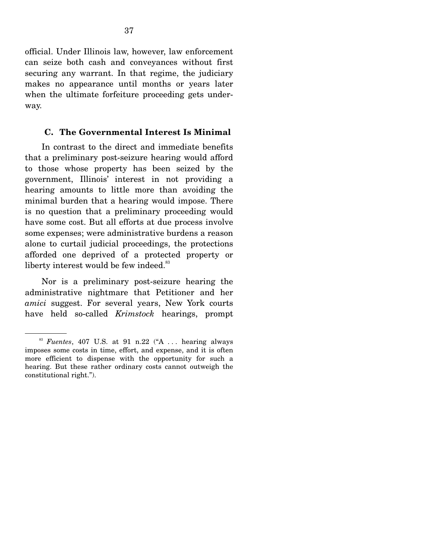official. Under Illinois law, however, law enforcement can seize both cash and conveyances without first securing any warrant. In that regime, the judiciary makes no appearance until months or years later when the ultimate forfeiture proceeding gets underway.

#### **C. The Governmental Interest Is Minimal**

 In contrast to the direct and immediate benefits that a preliminary post-seizure hearing would afford to those whose property has been seized by the government, Illinois' interest in not providing a hearing amounts to little more than avoiding the minimal burden that a hearing would impose. There is no question that a preliminary proceeding would have some cost. But all efforts at due process involve some expenses; were administrative burdens a reason alone to curtail judicial proceedings, the protections afforded one deprived of a protected property or liberty interest would be few indeed.<sup>83</sup>

 Nor is a preliminary post-seizure hearing the administrative nightmare that Petitioner and her *amici* suggest. For several years, New York courts have held so-called *Krimstock* hearings, prompt

<sup>83</sup> *Fuentes*, 407 U.S. at 91 n.22 ("A . . . hearing always imposes some costs in time, effort, and expense, and it is often more efficient to dispense with the opportunity for such a hearing. But these rather ordinary costs cannot outweigh the constitutional right.").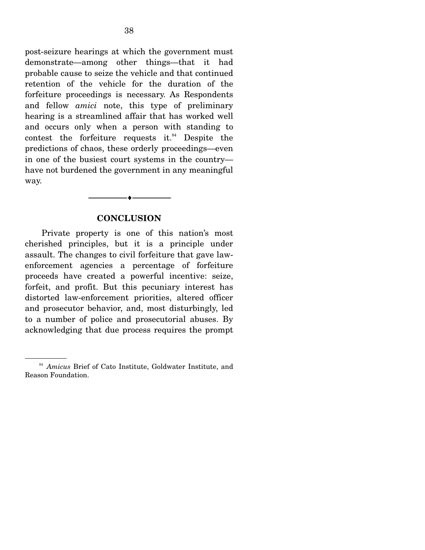post-seizure hearings at which the government must demonstrate—among other things—that it had probable cause to seize the vehicle and that continued retention of the vehicle for the duration of the forfeiture proceedings is necessary. As Respondents and fellow *amici* note, this type of preliminary hearing is a streamlined affair that has worked well and occurs only when a person with standing to contest the forfeiture requests it. $84}$  Despite the predictions of chaos, these orderly proceedings—even in one of the busiest court systems in the country have not burdened the government in any meaningful way.

#### **CONCLUSION**

--------------------------------- ♦ ---------------------------------

 Private property is one of this nation's most cherished principles, but it is a principle under assault. The changes to civil forfeiture that gave lawenforcement agencies a percentage of forfeiture proceeds have created a powerful incentive: seize, forfeit, and profit. But this pecuniary interest has distorted law-enforcement priorities, altered officer and prosecutor behavior, and, most disturbingly, led to a number of police and prosecutorial abuses. By acknowledging that due process requires the prompt

<sup>84</sup> *Amicus* Brief of Cato Institute, Goldwater Institute, and Reason Foundation.